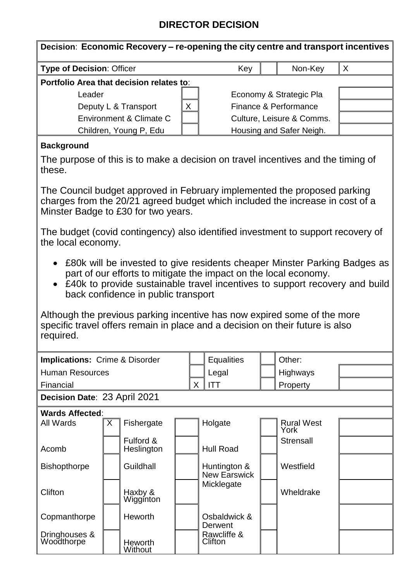## **DIRECTOR DECISION**

| <b>Type of Decision: Officer</b>                                                           | Key                       |                       | Non-Key | X |  |  |  |  |  |  |  |
|--------------------------------------------------------------------------------------------|---------------------------|-----------------------|---------|---|--|--|--|--|--|--|--|
| Portfolio Area that decision relates to:                                                   |                           |                       |         |   |  |  |  |  |  |  |  |
| Leader                                                                                     | Economy & Strategic Pla   |                       |         |   |  |  |  |  |  |  |  |
| X<br>Deputy L & Transport                                                                  |                           | Finance & Performance |         |   |  |  |  |  |  |  |  |
| Environment & Climate C                                                                    | Culture, Leisure & Comms. |                       |         |   |  |  |  |  |  |  |  |
| Children, Young P, Edu                                                                     | Housing and Safer Neigh.  |                       |         |   |  |  |  |  |  |  |  |
| <b>Background</b>                                                                          |                           |                       |         |   |  |  |  |  |  |  |  |
| The purpose of this is to make a decision on travel incentives and the timing of<br>these. |                           |                       |         |   |  |  |  |  |  |  |  |
| The Council budget approved in February implemented the proposed parking                   |                           |                       |         |   |  |  |  |  |  |  |  |

charges from the 20/21 agreed budget which included the increase in cost of a Minster Badge to £30 for two years.

The budget (covid contingency) also identified investment to support recovery of the local economy.

- £80k will be invested to give residents cheaper Minster Parking Badges as part of our efforts to mitigate the impact on the local economy.
- £40k to provide sustainable travel incentives to support recovery and build back confidence in public transport

Although the previous parking incentive has now expired some of the more specific travel offers remain in place and a decision on their future is also required.

| <b>Implications: Crime &amp; Disorder</b> |   |                           |  | <b>Equalities</b>            |  | Other:                    |  |  |  |  |
|-------------------------------------------|---|---------------------------|--|------------------------------|--|---------------------------|--|--|--|--|
| <b>Human Resources</b>                    |   |                           |  | Legal                        |  | <b>Highways</b>           |  |  |  |  |
| Financial                                 |   |                           |  | <b>ITT</b><br>X.             |  | Property                  |  |  |  |  |
| Decision Date: 23 April 2021              |   |                           |  |                              |  |                           |  |  |  |  |
| <b>Wards Affected:</b>                    |   |                           |  |                              |  |                           |  |  |  |  |
| All Wards                                 | X | Fishergate                |  | Holgate                      |  | <b>Rural West</b><br>York |  |  |  |  |
| Acomb                                     |   | Fulford &<br>Heslington   |  | <b>Hull Road</b>             |  | Strensall                 |  |  |  |  |
| <b>Bishopthorpe</b>                       |   | Guildhall                 |  | Huntington &<br>New Earswick |  | Westfield                 |  |  |  |  |
| Clifton                                   |   | Haxby &<br>Wigginton      |  | Micklegate                   |  | Wheldrake                 |  |  |  |  |
| Copmanthorpe                              |   | <b>Heworth</b>            |  | Osbaldwick &<br>Derwent      |  |                           |  |  |  |  |
| Dringhouses &<br>Woodthorpe               |   | <b>Heworth</b><br>Without |  | Rawcliffe &<br>Clifton       |  |                           |  |  |  |  |